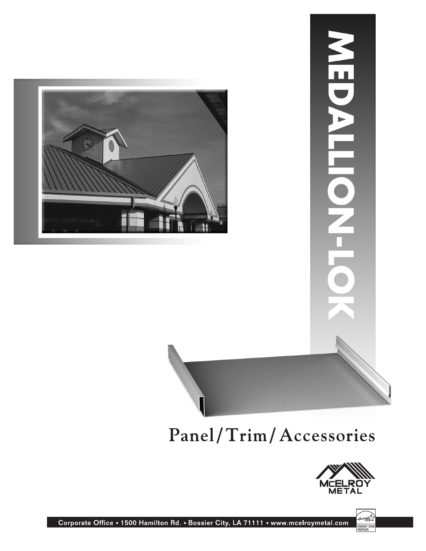



#### Panel/Trim/Accessories





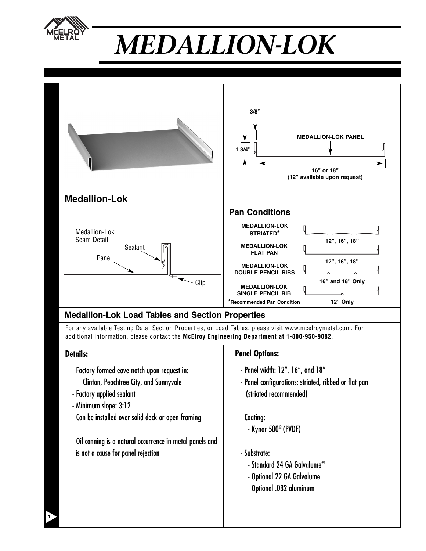

# *MEDALLION-LOK*

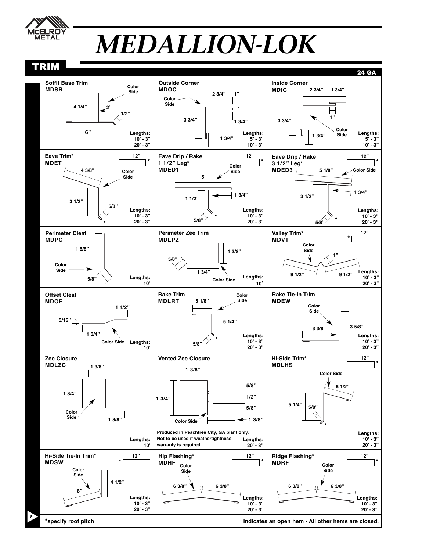

### *MEDALLION-LOK*

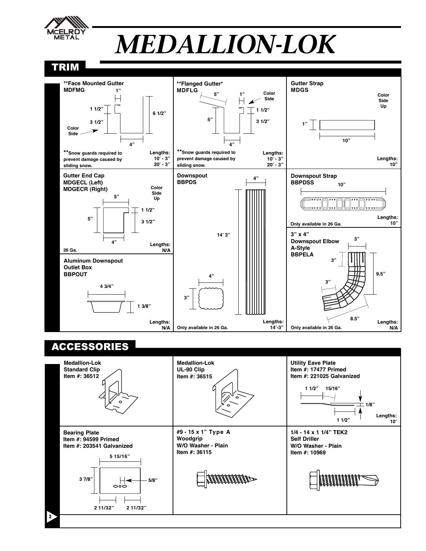

## *MEDALLION-LOK*

#### TRIM



#### ACCESSORIES

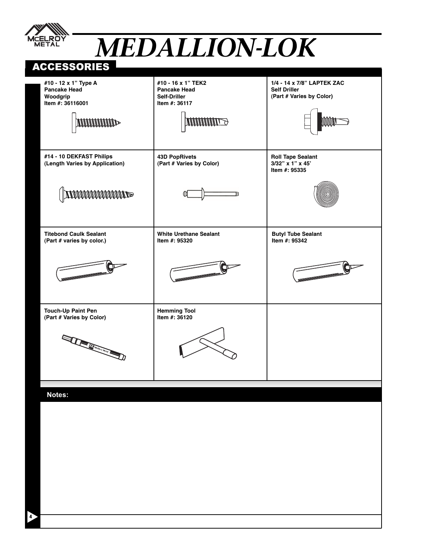